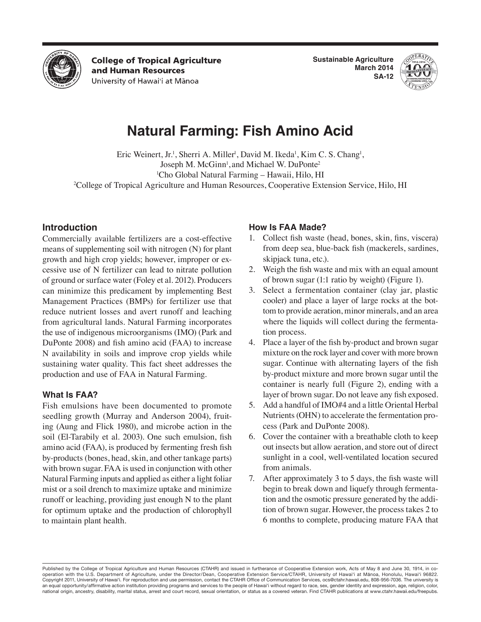

**College of Tropical Agriculture** and Human Resources University of Hawai'i at Mānoa

**Sustainable Agriculture March 2014 SA-12**



# **Natural Farming: Fish Amino Acid**

Eric Weinert, Jr.<sup>1</sup>, Sherri A. Miller<sup>1</sup>, David M. Ikeda<sup>1</sup>, Kim C. S. Chang<sup>1</sup>, Joseph M. McGinn<sup>1</sup>, and Michael W. DuPonte<sup>2</sup> 1 Cho Global Natural Farming – Hawaii, Hilo, HI 2 College of Tropical Agriculture and Human Resources, Cooperative Extension Service, Hilo, HI

## **Introduction**

Commercially available fertilizers are a cost-effective means of supplementing soil with nitrogen (N) for plant growth and high crop yields; however, improper or excessive use of N fertilizer can lead to nitrate pollution of ground or surface water (Foley et al. 2012). Producers can minimize this predicament by implementing Best Management Practices (BMPs) for fertilizer use that reduce nutrient losses and avert runoff and leaching from agricultural lands. Natural Farming incorporates the use of indigenous microorganisms (IMO) (Park and DuPonte 2008) and fish amino acid (FAA) to increase N availability in soils and improve crop yields while sustaining water quality. This fact sheet addresses the production and use of FAA in Natural Farming.

## **What Is FAA?**

Fish emulsions have been documented to promote seedling growth (Murray and Anderson 2004), fruiting (Aung and Flick 1980), and microbe action in the soil (El-Tarabily et al. 2003). One such emulsion, fish amino acid (FAA), is produced by fermenting fresh fish by-products (bones, head, skin, and other tankage parts) with brown sugar. FAA is used in conjunction with other Natural Farming inputs and applied as either a light foliar mist or a soil drench to maximize uptake and minimize runoff or leaching, providing just enough N to the plant for optimum uptake and the production of chlorophyll to maintain plant health.

## **How Is FAA Made?**

- 1. Collect fish waste (head, bones, skin, fins, viscera) from deep sea, blue-back fish (mackerels, sardines, skipjack tuna, etc.).
- 2. Weigh the fish waste and mix with an equal amount of brown sugar (1:1 ratio by weight) (Figure 1).
- 3. Select a fermentation container (clay jar, plastic cooler) and place a layer of large rocks at the bottom to provide aeration, minor minerals, and an area where the liquids will collect during the fermentation process.
- 4. Place a layer of the fish by-product and brown sugar mixture on the rock layer and cover with more brown sugar. Continue with alternating layers of the fish by-product mixture and more brown sugar until the container is nearly full (Figure 2), ending with a layer of brown sugar. Do not leave any fish exposed.
- 5. Add a handful of IMO#4 and a little Oriental Herbal Nutrients (OHN) to accelerate the fermentation process (Park and DuPonte 2008).
- 6. Cover the container with a breathable cloth to keep out insects but allow aeration, and store out of direct sunlight in a cool, well-ventilated location secured from animals.
- 7. After approximately 3 to 5 days, the fish waste will begin to break down and liquefy through fermentation and the osmotic pressure generated by the addition of brown sugar. However, the process takes 2 to 6 months to complete, producing mature FAA that

Published by the College of Tropical Agriculture and Human Resources (CTAHR) and issued in furtherance of Cooperative Extension work, Acts of May 8 and June 30, 1914, in cooperation with the U.S. Department of Agriculture, under the Director/Dean, Cooperative Extension Service/CTAHR, University of Hawai'i at Mānoa, Honolulu, Hawai'i 96822. Copyright 2011, University of Hawai'i. For reproduction and use permission, contact the CTAHR Office of Communication Services, ocs@ctahr.hawaii.edu, 808-956-7036. The university is an equal opportunity/affirmative action institution providing programs and services to the people of Hawai'i without regard to race, sex, gender identity and expression, age, religion, color, national origin, ancestry, disability, marital status, arrest and court record, sexual orientation, or status as a covered veteran. Find CTAHR publications at www.ctahr.hawaii.edu/freepubs.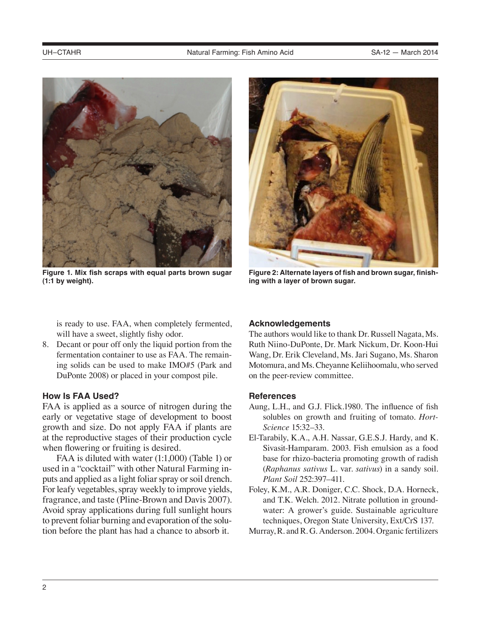

**Figure 1. Mix fish scraps with equal parts brown sugar (1:1 by weight).**



**Figure 2: Alternate layers of fish and brown sugar, finishing with a layer of brown sugar.**

is ready to use. FAA, when completely fermented, will have a sweet, slightly fishy odor.

8. Decant or pour off only the liquid portion from the fermentation container to use as FAA. The remaining solids can be used to make IMO#5 (Park and DuPonte 2008) or placed in your compost pile.

#### **How Is FAA Used?**

FAA is applied as a source of nitrogen during the early or vegetative stage of development to boost growth and size. Do not apply FAA if plants are at the reproductive stages of their production cycle when flowering or fruiting is desired.

FAA is diluted with water (1:1,000) (Table 1) or used in a "cocktail" with other Natural Farming inputs and applied as a light foliar spray or soil drench. For leafy vegetables, spray weekly to improve yields, fragrance, and taste (Pline-Brown and Davis 2007). Avoid spray applications during full sunlight hours to prevent foliar burning and evaporation of the solution before the plant has had a chance to absorb it.

#### **Acknowledgements**

The authors would like to thank Dr. Russell Nagata, Ms. Ruth Niino-DuPonte, Dr. Mark Nickum, Dr. Koon-Hui Wang, Dr. Erik Cleveland, Ms. Jari Sugano, Ms. Sharon Motomura, and Ms. Cheyanne Keliihoomalu, who served on the peer-review committee.

#### **References**

- Aung, L.H., and G.J. Flick.1980. The influence of fish solubles on growth and fruiting of tomato. *Hort-Science* 15:32–33.
- El-Tarabily, K.A., A.H. Nassar, G.E.S.J. Hardy, and K. Sivasit-Hamparam. 2003. Fish emulsion as a food base for rhizo-bacteria promoting growth of radish (*Raphanus sativus* L. var. *sativus*) in a sandy soil. *Plant Soil* 252:397–411.
- Foley, K.M., A.R. Doniger, C.C. Shock, D.A. Horneck, and T.K. Welch. 2012. Nitrate pollution in groundwater: A grower's guide. Sustainable agriculture techniques, Oregon State University, Ext/CrS 137.
- Murray, R. and R. G. Anderson. 2004. Organic fertilizers